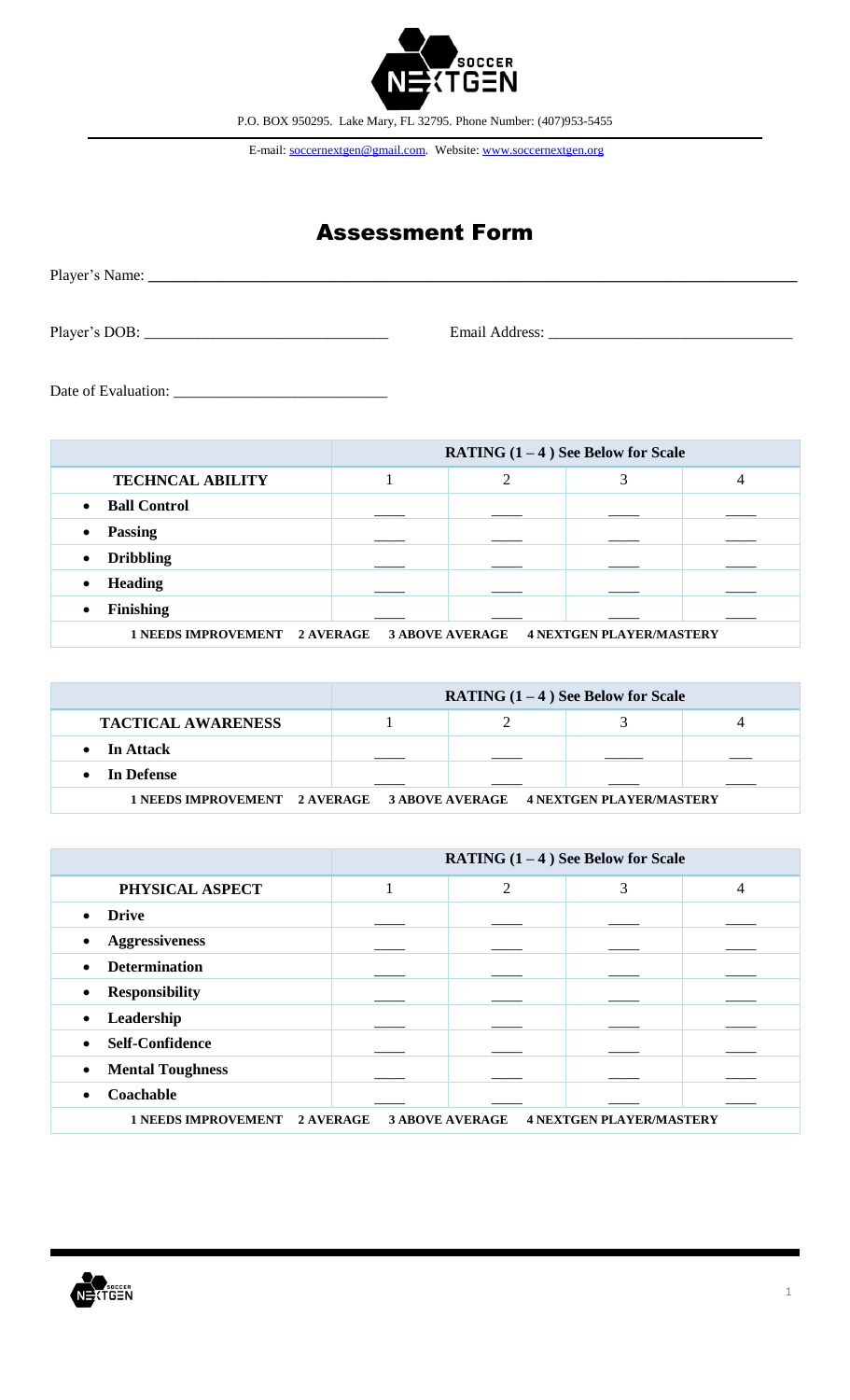

E-mail: soccernextgen@gmail.com. Website: www.soccernextgen.org

## Assessment Form

| Player's DOB: | Email Address:<br><u> 1980 - Jan Stein Stein Stein Stein Stein Stein Stein Stein Stein Stein Stein Stein Stein Stein Stein Stein S</u> |
|---------------|----------------------------------------------------------------------------------------------------------------------------------------|

Date of Evaluation: \_\_\_\_\_\_\_\_\_\_\_\_\_\_\_\_\_\_\_\_\_\_\_\_\_\_\_\_

|                                                                                  | <b>RATING <math>(1 - 4)</math> See Below for Scale</b> |   |  |   |
|----------------------------------------------------------------------------------|--------------------------------------------------------|---|--|---|
| <b>TECHNCAL ABILITY</b>                                                          |                                                        | ↑ |  | 4 |
| <b>Ball Control</b><br>$\bullet$                                                 |                                                        |   |  |   |
| <b>Passing</b><br>$\bullet$                                                      |                                                        |   |  |   |
| <b>Dribbling</b><br>$\bullet$                                                    |                                                        |   |  |   |
| <b>Heading</b><br>$\bullet$                                                      |                                                        |   |  |   |
| <b>Finishing</b><br>$\bullet$                                                    |                                                        |   |  |   |
| 1 NEEDS IMPROVEMENT 2 AVERAGE 3 ABOVE AVERAGE<br><b>4 NEXTGEN PLAYER/MASTERY</b> |                                                        |   |  |   |

|                           | RATING $(1-4)$ See Below for Scale |  |  |  |
|---------------------------|------------------------------------|--|--|--|
| <b>TACTICAL AWARENESS</b> |                                    |  |  |  |
| $\bullet$ In Attack       |                                    |  |  |  |
| • In Defense              |                                    |  |  |  |
|                           |                                    |  |  |  |

|                                                                                                      | <b>RATING <math>(1 - 4)</math> See Below for Scale</b> |                |   |   |
|------------------------------------------------------------------------------------------------------|--------------------------------------------------------|----------------|---|---|
| PHYSICAL ASPECT                                                                                      |                                                        | $\overline{2}$ | 3 | 4 |
| <b>Drive</b><br>$\bullet$                                                                            |                                                        |                |   |   |
| <b>Aggressiveness</b><br>$\bullet$                                                                   |                                                        |                |   |   |
| <b>Determination</b><br>$\bullet$                                                                    |                                                        |                |   |   |
| <b>Responsibility</b><br>$\bullet$                                                                   |                                                        |                |   |   |
| Leadership<br>$\bullet$                                                                              |                                                        |                |   |   |
| <b>Self-Confidence</b><br>$\bullet$                                                                  |                                                        |                |   |   |
| <b>Mental Toughness</b><br>$\bullet$                                                                 |                                                        |                |   |   |
| Coachable<br>$\bullet$                                                                               |                                                        |                |   |   |
| <b>1 NEEDS IMPROVEMENT</b><br>2 AVERAGE<br><b>3 ABOVE AVERAGE</b><br><b>4 NEXTGEN PLAYER/MASTERY</b> |                                                        |                |   |   |

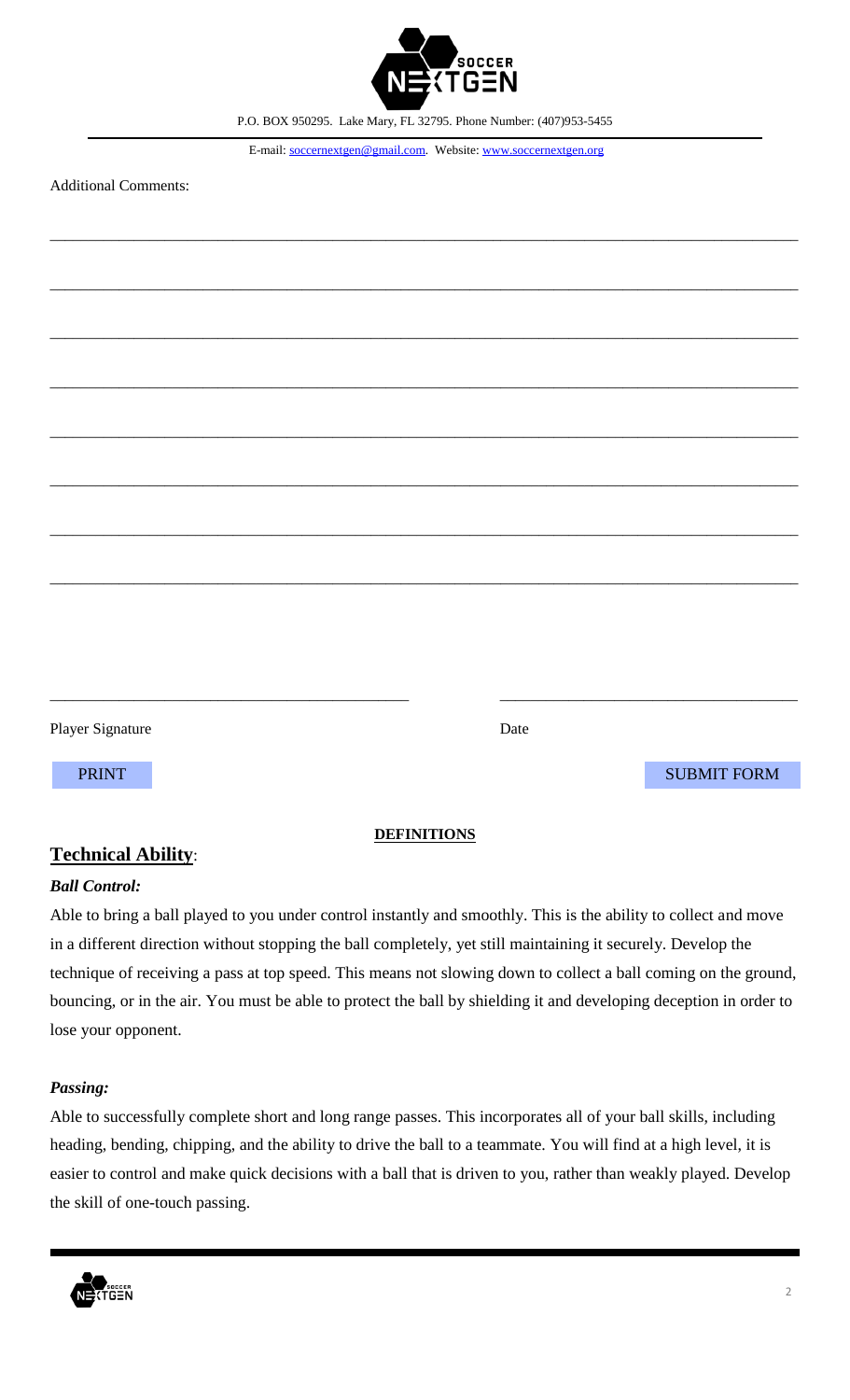

E-mail: soccernextgen@gmail.com. Website: www.soccernextgen.org

\_\_\_\_\_\_\_\_\_\_\_\_\_\_\_\_\_\_\_\_\_\_\_\_\_\_\_\_\_\_\_\_\_\_\_\_\_\_\_\_\_\_\_\_\_\_\_\_\_\_\_\_\_\_\_\_\_\_\_\_\_\_\_\_\_\_\_\_\_\_\_\_\_\_\_\_\_\_\_\_\_\_\_\_\_\_\_\_\_\_\_\_\_\_\_\_\_\_

\_\_\_\_\_\_\_\_\_\_\_\_\_\_\_\_\_\_\_\_\_\_\_\_\_\_\_\_\_\_\_\_\_\_\_\_\_\_\_\_\_\_\_\_\_\_\_\_\_\_\_\_\_\_\_\_\_\_\_\_\_\_\_\_\_\_\_\_\_\_\_\_\_\_\_\_\_\_\_\_\_\_\_\_\_\_\_\_\_\_\_\_\_\_\_\_\_\_

\_\_\_\_\_\_\_\_\_\_\_\_\_\_\_\_\_\_\_\_\_\_\_\_\_\_\_\_\_\_\_\_\_\_\_\_\_\_\_\_\_\_\_\_\_\_\_\_\_\_\_\_\_\_\_\_\_\_\_\_\_\_\_\_\_\_\_\_\_\_\_\_\_\_\_\_\_\_\_\_\_\_\_\_\_\_\_\_\_\_\_\_\_\_\_\_\_\_

\_\_\_\_\_\_\_\_\_\_\_\_\_\_\_\_\_\_\_\_\_\_\_\_\_\_\_\_\_\_\_\_\_\_\_\_\_\_\_\_\_\_\_\_\_\_\_\_\_\_\_\_\_\_\_\_\_\_\_\_\_\_\_\_\_\_\_\_\_\_\_\_\_\_\_\_\_\_\_\_\_\_\_\_\_\_\_\_\_\_\_\_\_\_\_\_\_\_

\_\_\_\_\_\_\_\_\_\_\_\_\_\_\_\_\_\_\_\_\_\_\_\_\_\_\_\_\_\_\_\_\_\_\_\_\_\_\_\_\_\_\_\_\_\_\_\_\_\_\_\_\_\_\_\_\_\_\_\_\_\_\_\_\_\_\_\_\_\_\_\_\_\_\_\_\_\_\_\_\_\_\_\_\_\_\_\_\_\_\_\_\_\_\_\_\_\_

\_\_\_\_\_\_\_\_\_\_\_\_\_\_\_\_\_\_\_\_\_\_\_\_\_\_\_\_\_\_\_\_\_\_\_\_\_\_\_\_\_\_\_\_\_\_\_\_\_\_\_\_\_\_\_\_\_\_\_\_\_\_\_\_\_\_\_\_\_\_\_\_\_\_\_\_\_\_\_\_\_\_\_\_\_\_\_\_\_\_\_\_\_\_\_\_\_\_

\_\_\_\_\_\_\_\_\_\_\_\_\_\_\_\_\_\_\_\_\_\_\_\_\_\_\_\_\_\_\_\_\_\_\_\_\_\_\_\_\_\_\_\_\_\_\_\_\_\_\_\_\_\_\_\_\_\_\_\_\_\_\_\_\_\_\_\_\_\_\_\_\_\_\_\_\_\_\_\_\_\_\_\_\_\_\_\_\_\_\_\_\_\_\_\_\_\_

\_\_\_\_\_\_\_\_\_\_\_\_\_\_\_\_\_\_\_\_\_\_\_\_\_\_\_\_\_\_\_\_\_\_\_\_\_\_\_\_\_\_\_\_\_\_\_\_\_\_\_\_\_\_\_\_\_\_\_\_\_\_\_\_\_\_\_\_\_\_\_\_\_\_\_\_\_\_\_\_\_\_\_\_\_\_\_\_\_\_\_\_\_\_\_\_\_\_

Additional Comments:

| <b>Player Signature</b> | Date |                    |
|-------------------------|------|--------------------|
| <b>PRINT</b>            |      | <b>SUBMIT FORM</b> |
|                         |      |                    |

## **Technical Ability**:

# **DEFINITIONS**

#### *Ball Control:*

Able to bring a ball played to you under control instantly and smoothly. This is the ability to collect and move in a different direction without stopping the ball completely, yet still maintaining it securely. Develop the technique of receiving a pass at top speed. This means not slowing down to collect a ball coming on the ground, bouncing, or in the air. You must be able to protect the ball by shielding it and developing deception in order to lose your opponent.

## *Passing:*

Able to successfully complete short and long range passes. This incorporates all of your ball skills, including heading, bending, chipping, and the ability to drive the ball to a teammate. You will find at a high level, it is easier to control and make quick decisions with a ball that is driven to you, rather than weakly played. Develop the skill of one-touch passing.

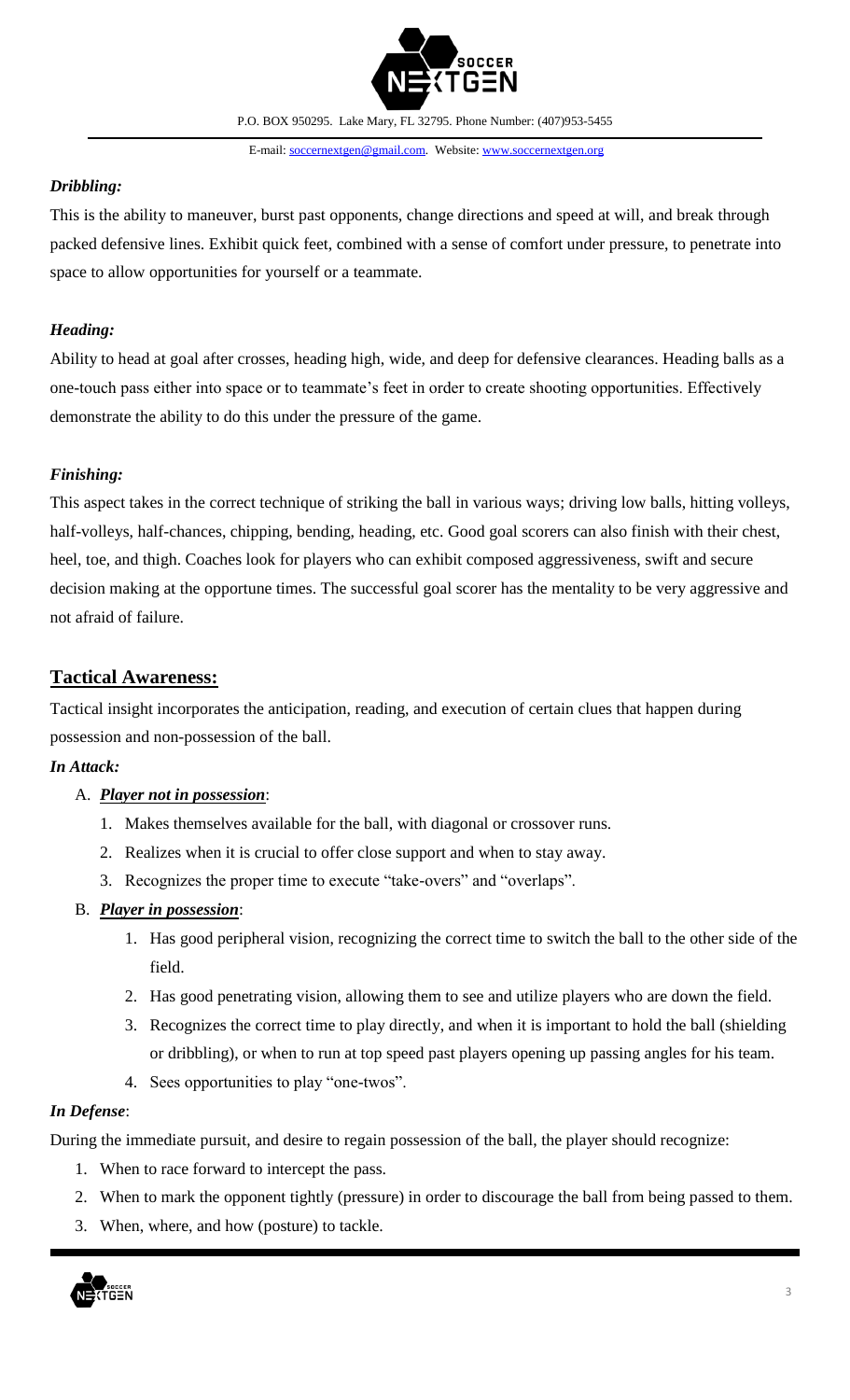

E-mail: soccernextgen@gmail.com. Website: www.soccernextgen.org

#### *Dribbling:*

This is the ability to maneuver, burst past opponents, change directions and speed at will, and break through packed defensive lines. Exhibit quick feet, combined with a sense of comfort under pressure, to penetrate into space to allow opportunities for yourself or a teammate.

## *Heading:*

Ability to head at goal after crosses, heading high, wide, and deep for defensive clearances. Heading balls as a one-touch pass either into space or to teammate's feet in order to create shooting opportunities. Effectively demonstrate the ability to do this under the pressure of the game.

## *Finishing:*

This aspect takes in the correct technique of striking the ball in various ways; driving low balls, hitting volleys, half-volleys, half-chances, chipping, bending, heading, etc. Good goal scorers can also finish with their chest, heel, toe, and thigh. Coaches look for players who can exhibit composed aggressiveness, swift and secure decision making at the opportune times. The successful goal scorer has the mentality to be very aggressive and not afraid of failure.

## **Tactical Awareness:**

Tactical insight incorporates the anticipation, reading, and execution of certain clues that happen during possession and non-possession of the ball.

## *In Attack:*

## A. *Player not in possession*:

- 1. Makes themselves available for the ball, with diagonal or crossover runs.
- 2. Realizes when it is crucial to offer close support and when to stay away.
- 3. Recognizes the proper time to execute "take-overs" and "overlaps".

## B. *Player in possession*:

- 1. Has good peripheral vision, recognizing the correct time to switch the ball to the other side of the field.
- 2. Has good penetrating vision, allowing them to see and utilize players who are down the field.
- 3. Recognizes the correct time to play directly, and when it is important to hold the ball (shielding or dribbling), or when to run at top speed past players opening up passing angles for his team.
- 4. Sees opportunities to play "one-twos".

## *In Defense*:

During the immediate pursuit, and desire to regain possession of the ball, the player should recognize:

- 1. When to race forward to intercept the pass.
- 2. When to mark the opponent tightly (pressure) in order to discourage the ball from being passed to them.
- 3. When, where, and how (posture) to tackle.

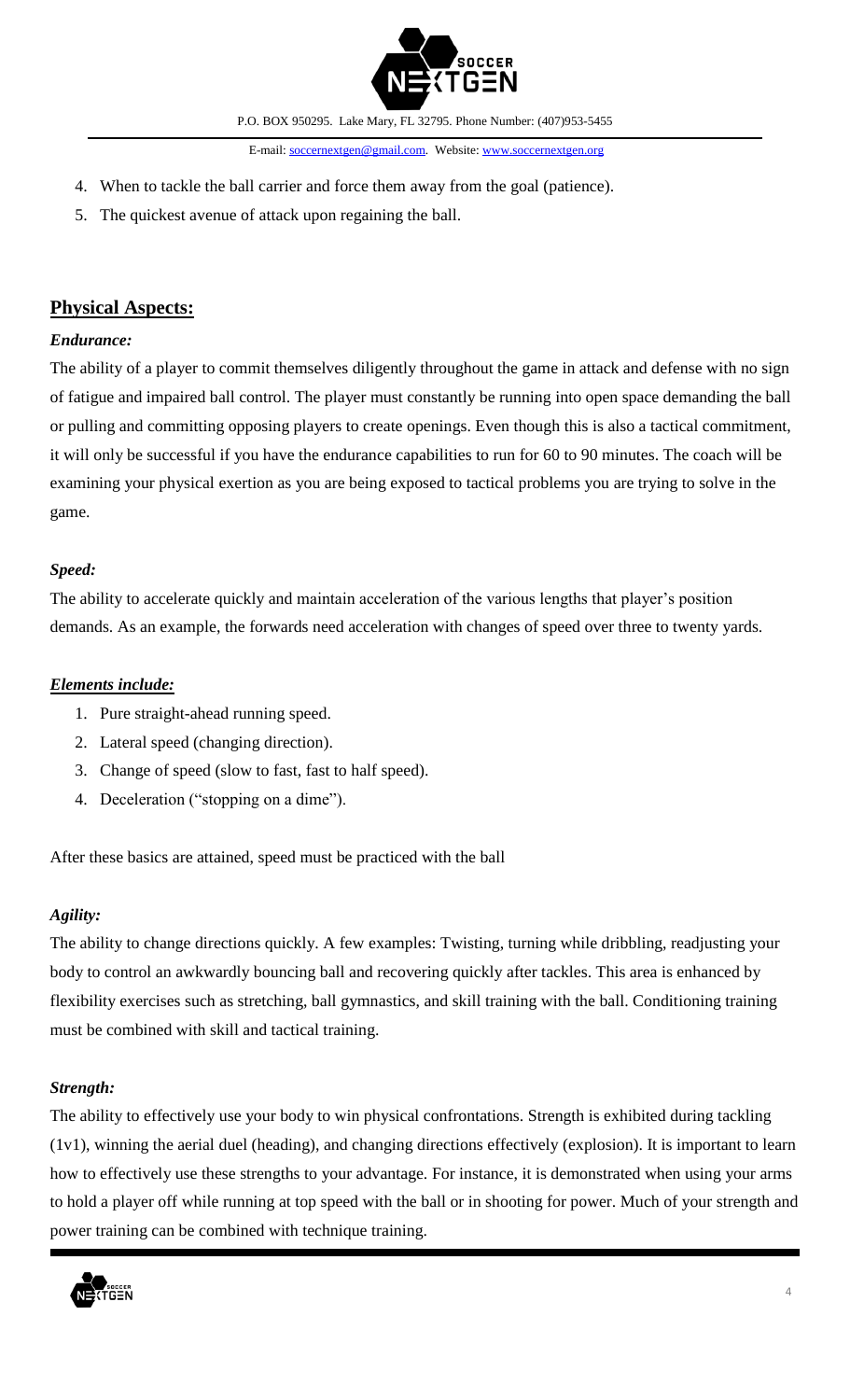

E-mail: soccernextgen@gmail.com. Website: www.soccernextgen.org

- 4. When to tackle the ball carrier and force them away from the goal (patience).
- 5. The quickest avenue of attack upon regaining the ball.

## **Physical Aspects:**

#### *Endurance:*

The ability of a player to commit themselves diligently throughout the game in attack and defense with no sign of fatigue and impaired ball control. The player must constantly be running into open space demanding the ball or pulling and committing opposing players to create openings. Even though this is also a tactical commitment, it will only be successful if you have the endurance capabilities to run for 60 to 90 minutes. The coach will be examining your physical exertion as you are being exposed to tactical problems you are trying to solve in the game.

#### *Speed:*

The ability to accelerate quickly and maintain acceleration of the various lengths that player's position demands. As an example, the forwards need acceleration with changes of speed over three to twenty yards.

#### *Elements include:*

- 1. Pure straight-ahead running speed.
- 2. Lateral speed (changing direction).
- 3. Change of speed (slow to fast, fast to half speed).
- 4. Deceleration ("stopping on a dime").

After these basics are attained, speed must be practiced with the ball

#### *Agility:*

The ability to change directions quickly. A few examples: Twisting, turning while dribbling, readjusting your body to control an awkwardly bouncing ball and recovering quickly after tackles. This area is enhanced by flexibility exercises such as stretching, ball gymnastics, and skill training with the ball. Conditioning training must be combined with skill and tactical training.

#### *Strength:*

The ability to effectively use your body to win physical confrontations. Strength is exhibited during tackling (1v1), winning the aerial duel (heading), and changing directions effectively (explosion). It is important to learn how to effectively use these strengths to your advantage. For instance, it is demonstrated when using your arms to hold a player off while running at top speed with the ball or in shooting for power. Much of your strength and power training can be combined with technique training.